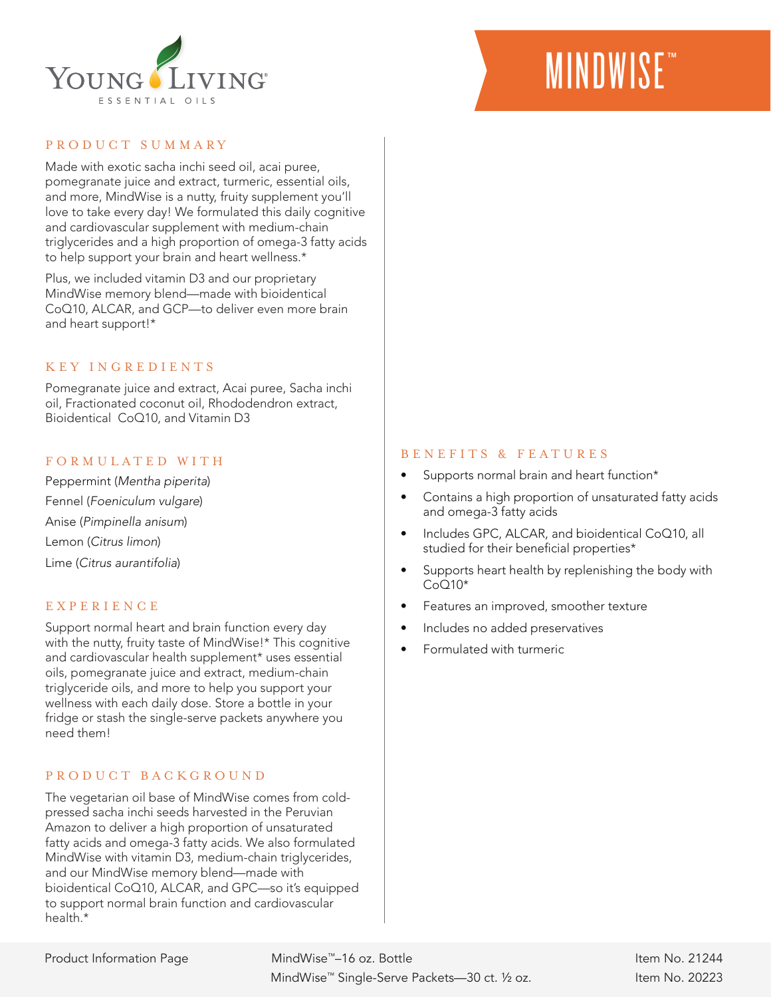

# **MINDWISE**™

### PRODUCT SUMMARY

Made with exotic sacha inchi seed oil, acai puree, pomegranate juice and extract, turmeric, essential oils, and more, MindWise is a nutty, fruity supplement you'll love to take every day! We formulated this daily cognitive and cardiovascular supplement with medium-chain triglycerides and a high proportion of omega-3 fatty acids to help support your brain and heart wellness.\*

Plus, we included vitamin D3 and our proprietary MindWise memory blend—made with bioidentical CoQ10, ALCAR, and GCP—to deliver even more brain and heart support!\*

### KEY INGREDIENTS

Pomegranate juice and extract, Acai puree, Sacha inchi oil, Fractionated coconut oil, Rhododendron extract, Bioidentical CoQ10, and Vitamin D3

#### FORMULATED WITH

Peppermint (*Mentha piperita*) Fennel (*Foeniculum vulgare*) Anise (*Pimpinella anisum*) Lemon (*Citrus limon*) Lime (*Citrus aurantifolia*)

## EXPERIENCE

Support normal heart and brain function every day with the nutty, fruity taste of MindWise!\* This cognitive and cardiovascular health supplement\* uses essential oils, pomegranate juice and extract, medium-chain triglyceride oils, and more to help you support your wellness with each daily dose. Store a bottle in your fridge or stash the single-serve packets anywhere you need them!

## P R O D U C T B A C K G R O U N D

The vegetarian oil base of MindWise comes from coldpressed sacha inchi seeds harvested in the Peruvian Amazon to deliver a high proportion of unsaturated fatty acids and omega-3 fatty acids. We also formulated MindWise with vitamin D3, medium-chain triglycerides, and our MindWise memory blend—made with bioidentical CoQ10, ALCAR, and GPC—so it's equipped to support normal brain function and cardiovascular health.\*

#### BENEFITS & FEATURES

- Supports normal brain and heart function\*
- Contains a high proportion of unsaturated fatty acids and omega-3 fatty acids
- Includes GPC, ALCAR, and bioidentical CoQ10, all studied for their beneficial properties\*
- Supports heart health by replenishing the body with  $CoO10*$
- Features an improved, smoother texture
- Includes no added preservatives
- Formulated with turmeric